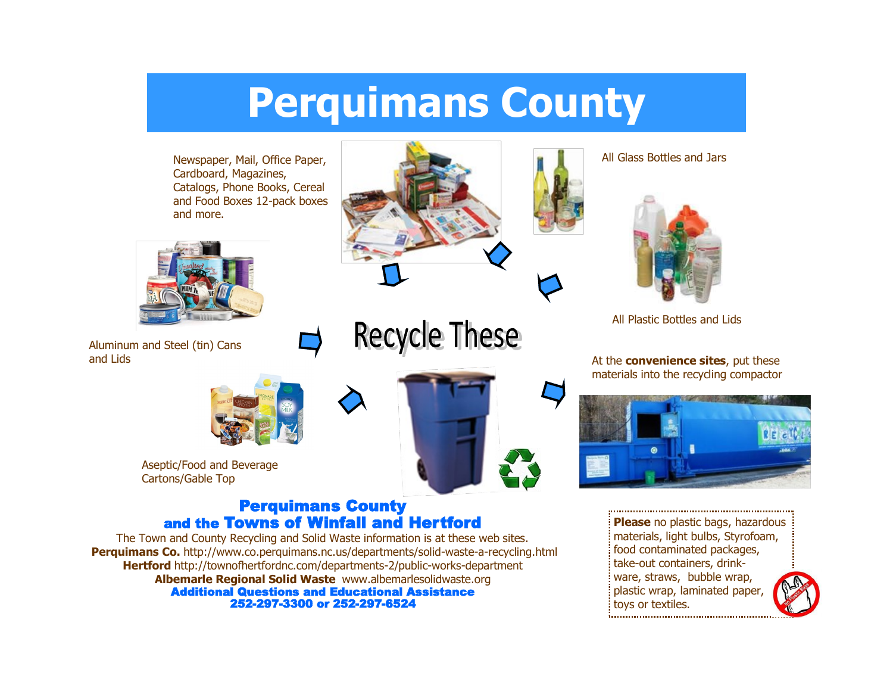# **Perquimans County**

Newspaper, Mail, Office Paper, Cardboard, Magazines, Catalogs, Phone Books, Cereal and Food Boxes 12-pack boxes and more.



Aluminum and Steel (tin) Cans and Lids



Aseptic/Food and Beverage Cartons/Gable Top

#### Perquimans County and the Towns of Winfall and Hertford

The Town and County Recycling and Solid Waste information is at these web sites. **Perquimans Co.** http://www.co.perquimans.nc.us/departments/solid-waste-a-recycling.html **Hertford** http://townofhertfordnc.com/departments-2/public-works-department **Albemarle Regional Solid Waste** www.albemarlesolidwaste.org Additional Questions and Educational Assistance 252-297-3300 or 252-297-6524



**Recycle These** 



All Glass Bottles and Jars



All Plastic Bottles and Lids

At the **convenience sites**, put these materials into the recycling compactor



**Please** no plastic bags, hazardous materials, light bulbs, Styrofoam, food contaminated packages, take-out containers, drinkware, straws, bubble wrap, plastic wrap, laminated paper, toys or textiles.